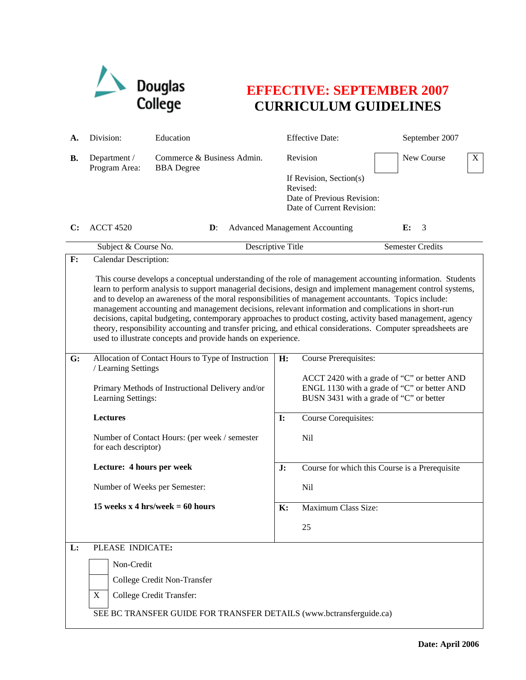

## **EFFECTIVE: SEPTEMBER 2007 CURRICULUM GUIDELINES**

| А. | Division:                                                                                                                                                                                                                 | Education                                                                                                                                                                                                                                                                                                                  |    | <b>Effective Date:</b>                                                                                                                |  | September 2007          |   |  |
|----|---------------------------------------------------------------------------------------------------------------------------------------------------------------------------------------------------------------------------|----------------------------------------------------------------------------------------------------------------------------------------------------------------------------------------------------------------------------------------------------------------------------------------------------------------------------|----|---------------------------------------------------------------------------------------------------------------------------------------|--|-------------------------|---|--|
| В. | Department /<br>Program Area:                                                                                                                                                                                             | Commerce & Business Admin.<br><b>BBA</b> Degree                                                                                                                                                                                                                                                                            |    | Revision<br>If Revision, Section(s)<br>Revised:                                                                                       |  | New Course              | X |  |
|    |                                                                                                                                                                                                                           |                                                                                                                                                                                                                                                                                                                            |    | Date of Previous Revision:<br>Date of Current Revision:                                                                               |  |                         |   |  |
| C: | <b>ACCT 4520</b>                                                                                                                                                                                                          | $\mathbf{D}$ :                                                                                                                                                                                                                                                                                                             |    | <b>Advanced Management Accounting</b>                                                                                                 |  | E:<br>3                 |   |  |
|    | Subject & Course No.                                                                                                                                                                                                      | Descriptive Title                                                                                                                                                                                                                                                                                                          |    |                                                                                                                                       |  | <b>Semester Credits</b> |   |  |
| F: | Calendar Description:                                                                                                                                                                                                     |                                                                                                                                                                                                                                                                                                                            |    |                                                                                                                                       |  |                         |   |  |
|    | This course develops a conceptual understanding of the role of management accounting information. Students<br>learn to perform analysis to support managerial decisions, design and implement management control systems, |                                                                                                                                                                                                                                                                                                                            |    |                                                                                                                                       |  |                         |   |  |
|    |                                                                                                                                                                                                                           | and to develop an awareness of the moral responsibilities of management accountants. Topics include:<br>management accounting and management decisions, relevant information and complications in short-run<br>decisions, capital budgeting, contemporary approaches to product costing, activity based management, agency |    |                                                                                                                                       |  |                         |   |  |
|    |                                                                                                                                                                                                                           | theory, responsibility accounting and transfer pricing, and ethical considerations. Computer spreadsheets are<br>used to illustrate concepts and provide hands on experience.                                                                                                                                              |    |                                                                                                                                       |  |                         |   |  |
| G: |                                                                                                                                                                                                                           | Allocation of Contact Hours to Type of Instruction<br>/ Learning Settings                                                                                                                                                                                                                                                  |    | Course Prerequisites:                                                                                                                 |  |                         |   |  |
|    | Learning Settings:                                                                                                                                                                                                        | Primary Methods of Instructional Delivery and/or                                                                                                                                                                                                                                                                           |    | ACCT 2420 with a grade of "C" or better AND<br>ENGL 1130 with a grade of "C" or better AND<br>BUSN 3431 with a grade of "C" or better |  |                         |   |  |
|    | <b>Lectures</b>                                                                                                                                                                                                           |                                                                                                                                                                                                                                                                                                                            |    | <b>Course Corequisites:</b>                                                                                                           |  |                         |   |  |
|    | Number of Contact Hours: (per week / semester<br>for each descriptor)                                                                                                                                                     |                                                                                                                                                                                                                                                                                                                            |    | <b>Nil</b>                                                                                                                            |  |                         |   |  |
|    | Lecture: 4 hours per week                                                                                                                                                                                                 |                                                                                                                                                                                                                                                                                                                            | J: | Course for which this Course is a Prerequisite                                                                                        |  |                         |   |  |
|    | Number of Weeks per Semester:                                                                                                                                                                                             |                                                                                                                                                                                                                                                                                                                            |    | <b>Nil</b>                                                                                                                            |  |                         |   |  |
|    |                                                                                                                                                                                                                           | 15 weeks x 4 hrs/week = $60$ hours                                                                                                                                                                                                                                                                                         | K: | Maximum Class Size:                                                                                                                   |  |                         |   |  |
|    |                                                                                                                                                                                                                           |                                                                                                                                                                                                                                                                                                                            |    | 25                                                                                                                                    |  |                         |   |  |
| L: | PLEASE INDICATE:                                                                                                                                                                                                          |                                                                                                                                                                                                                                                                                                                            |    |                                                                                                                                       |  |                         |   |  |
|    |                                                                                                                                                                                                                           | Non-Credit                                                                                                                                                                                                                                                                                                                 |    |                                                                                                                                       |  |                         |   |  |
|    |                                                                                                                                                                                                                           | College Credit Non-Transfer                                                                                                                                                                                                                                                                                                |    |                                                                                                                                       |  |                         |   |  |
|    | X                                                                                                                                                                                                                         | College Credit Transfer:                                                                                                                                                                                                                                                                                                   |    |                                                                                                                                       |  |                         |   |  |
|    | SEE BC TRANSFER GUIDE FOR TRANSFER DETAILS (www.bctransferguide.ca)                                                                                                                                                       |                                                                                                                                                                                                                                                                                                                            |    |                                                                                                                                       |  |                         |   |  |